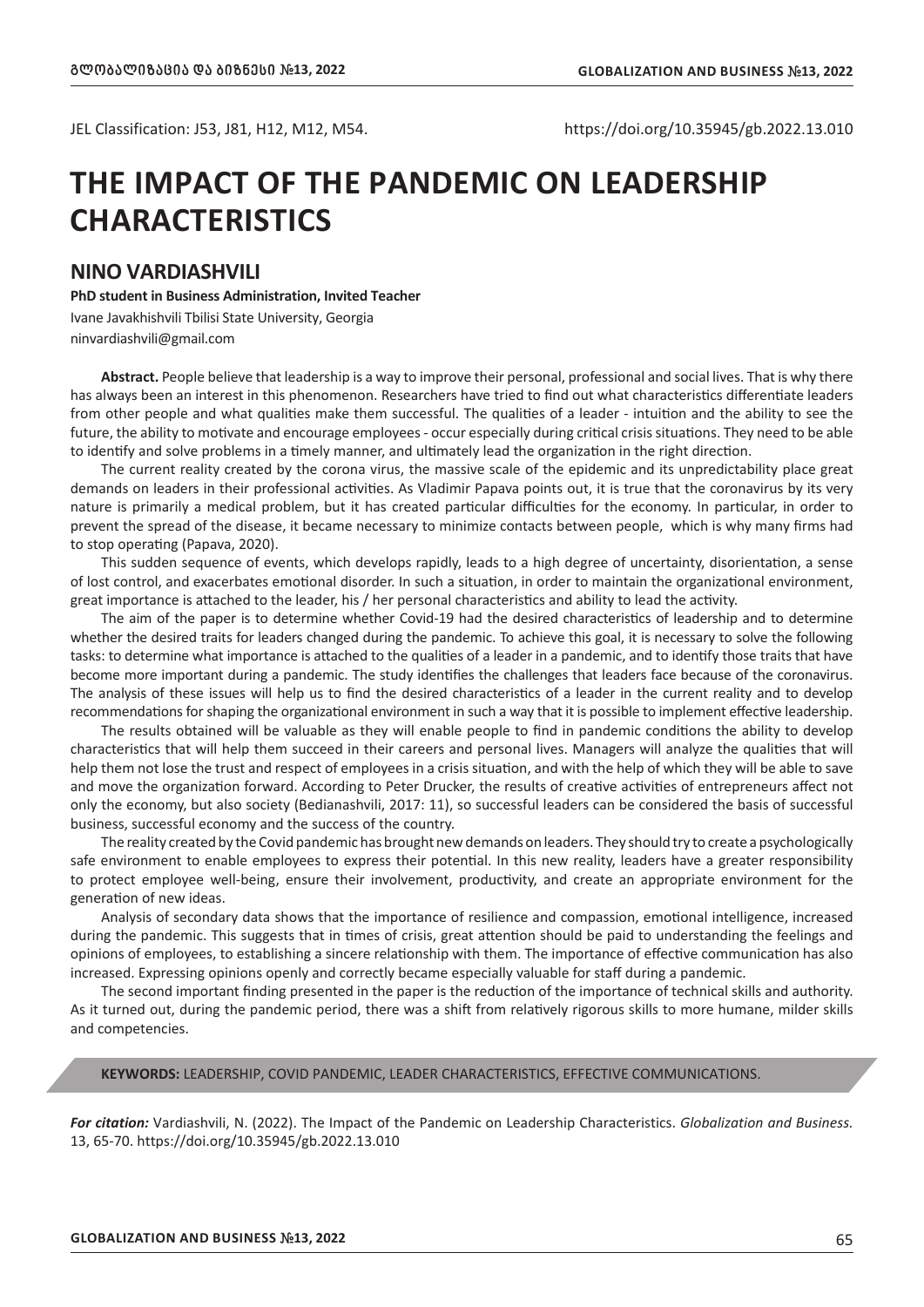JEL Classification: J53, J81, H12, M12, M54. https://doi.org/10.35945/gb.2022.13.010

# **THE IMPACT OF THE PANDEMIC ON LEADERSHIP CHARACTERISTICS**

# **NINO VARDIASHVILI**

**PhD student in Business Administration, Invited Teacher** Ivane Javakhishvili Tbilisi State University, Georgia ninvardiashvili@gmail.com

**Abstract.** People believe that leadership is a way to improve their personal, professional and social lives. That is why there has always been an interest in this phenomenon. Researchers have tried to find out what characteristics differentiate leaders from other people and what qualities make them successful. The qualities of a leader - intuition and the ability to see the future, the ability to motivate and encourage employees - occur especially during critical crisis situations. They need to be able to identify and solve problems in a timely manner, and ultimately lead the organization in the right direction.

The current reality created by the corona virus, the massive scale of the epidemic and its unpredictability place great demands on leaders in their professional activities. As Vladimir Papava points out, it is true that the coronavirus by its very nature is primarily a medical problem, but it has created particular difficulties for the economy. In particular, in order to prevent the spread of the disease, it became necessary to minimize contacts between people, which is why many firms had to stop operating (Papava, 2020).

This sudden sequence of events, which develops rapidly, leads to a high degree of uncertainty, disorientation, a sense of lost control, and exacerbates emotional disorder. In such a situation, in order to maintain the organizational environment, great importance is attached to the leader, his / her personal characteristics and ability to lead the activity.

The aim of the paper is to determine whether Covid-19 had the desired characteristics of leadership and to determine whether the desired traits for leaders changed during the pandemic. To achieve this goal, it is necessary to solve the following tasks: to determine what importance is attached to the qualities of a leader in a pandemic, and to identify those traits that have become more important during a pandemic. The study identifies the challenges that leaders face because of the coronavirus. The analysis of these issues will help us to find the desired characteristics of a leader in the current reality and to develop recommendations for shaping the organizational environment in such a way that it is possible to implement effective leadership.

The results obtained will be valuable as they will enable people to find in pandemic conditions the ability to develop characteristics that will help them succeed in their careers and personal lives. Managers will analyze the qualities that will help them not lose the trust and respect of employees in a crisis situation, and with the help of which they will be able to save and move the organization forward. According to Peter Drucker, the results of creative activities of entrepreneurs affect not only the economy, but also society (Bedianashvili, 2017: 11), so successful leaders can be considered the basis of successful business, successful economy and the success of the country.

The reality created by the Covid pandemic has brought new demands on leaders. They should try to create a psychologically safe environment to enable employees to express their potential. In this new reality, leaders have a greater responsibility to protect employee well-being, ensure their involvement, productivity, and create an appropriate environment for the generation of new ideas.

Analysis of secondary data shows that the importance of resilience and compassion, emotional intelligence, increased during the pandemic. This suggests that in times of crisis, great attention should be paid to understanding the feelings and opinions of employees, to establishing a sincere relationship with them. The importance of effective communication has also increased. Expressing opinions openly and correctly became especially valuable for staff during a pandemic.

The second important finding presented in the paper is the reduction of the importance of technical skills and authority. As it turned out, during the pandemic period, there was a shift from relatively rigorous skills to more humane, milder skills and competencies.

# **KEYWORDS:** LEADERSHIP, COVID PANDEMIC, LEADER CHARACTERISTICS, EFFECTIVE COMMUNICATIONS.

*For citation:* Vardiashvili, N. (2022). The Impact of the Pandemic on Leadership Characteristics. *Globalization and Business.* 13, 65-70. https://doi.org/10.35945/gb.2022.13.010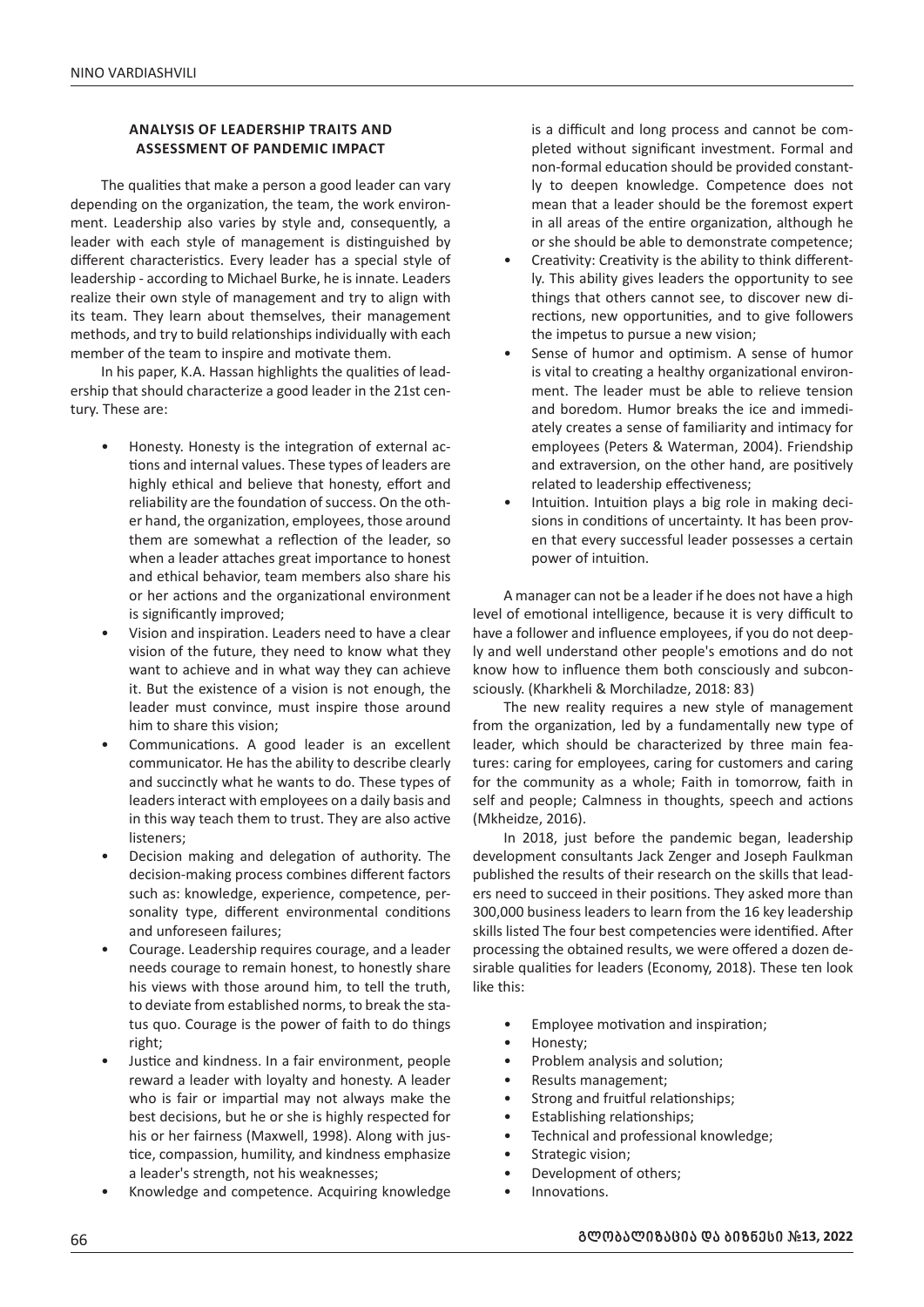# **ANALYSIS OF LEADERSHIP TRAITS AND ASSESSMENT OF PANDEMIC IMPACT**

The qualities that make a person a good leader can vary depending on the organization, the team, the work environment. Leadership also varies by style and, consequently, a leader with each style of management is distinguished by different characteristics. Every leader has a special style of leadership - according to Michael Burke, he is innate. Leaders realize their own style of management and try to align with its team. They learn about themselves, their management methods, and try to build relationships individually with each member of the team to inspire and motivate them.

In his paper, K.A. Hassan highlights the qualities of leadership that should characterize a good leader in the 21st century. These are:

- Honesty. Honesty is the integration of external actions and internal values. These types of leaders are highly ethical and believe that honesty, effort and reliability are the foundation of success. On the other hand, the organization, employees, those around them are somewhat a reflection of the leader, so when a leader attaches great importance to honest and ethical behavior, team members also share his or her actions and the organizational environment is significantly improved;
- Vision and inspiration. Leaders need to have a clear vision of the future, they need to know what they want to achieve and in what way they can achieve it. But the existence of a vision is not enough, the leader must convince, must inspire those around him to share this vision;
- Communications. A good leader is an excellent communicator. He has the ability to describe clearly and succinctly what he wants to do. These types of leaders interact with employees on a daily basis and in this way teach them to trust. They are also active listeners;
- Decision making and delegation of authority. The decision-making process combines different factors such as: knowledge, experience, competence, personality type, different environmental conditions and unforeseen failures;
- Courage. Leadership requires courage, and a leader needs courage to remain honest, to honestly share his views with those around him, to tell the truth, to deviate from established norms, to break the status quo. Courage is the power of faith to do things right;
- Justice and kindness. In a fair environment, people reward a leader with loyalty and honesty. A leader who is fair or impartial may not always make the best decisions, but he or she is highly respected for his or her fairness (Maxwell, 1998). Along with justice, compassion, humility, and kindness emphasize a leader's strength, not his weaknesses;
- Knowledge and competence. Acquiring knowledge

is a difficult and long process and cannot be completed without significant investment. Formal and non-formal education should be provided constantly to deepen knowledge. Competence does not mean that a leader should be the foremost expert in all areas of the entire organization, although he or she should be able to demonstrate competence;

- Creativity: Creativity is the ability to think differently. This ability gives leaders the opportunity to see things that others cannot see, to discover new directions, new opportunities, and to give followers the impetus to pursue a new vision;
- Sense of humor and optimism. A sense of humor is vital to creating a healthy organizational environment. The leader must be able to relieve tension and boredom. Humor breaks the ice and immediately creates a sense of familiarity and intimacy for employees (Peters & Waterman, 2004). Friendship and extraversion, on the other hand, are positively related to leadership effectiveness;
- Intuition. Intuition plays a big role in making decisions in conditions of uncertainty. It has been proven that every successful leader possesses a certain power of intuition.

A manager can not be a leader if he does not have a high level of emotional intelligence, because it is very difficult to have a follower and influence employees, if you do not deeply and well understand other people's emotions and do not know how to influence them both consciously and subconsciously. (Kharkheli & Morchiladze, 2018: 83)

The new reality requires a new style of management from the organization, led by a fundamentally new type of leader, which should be characterized by three main features: caring for employees, caring for customers and caring for the community as a whole; Faith in tomorrow, faith in self and people; Calmness in thoughts, speech and actions (Mkheidze, 2016).

In 2018, just before the pandemic began, leadership development consultants Jack Zenger and Joseph Faulkman published the results of their research on the skills that leaders need to succeed in their positions. They asked more than 300,000 business leaders to learn from the 16 key leadership skills listed The four best competencies were identified. After processing the obtained results, we were offered a dozen desirable qualities for leaders (Economy, 2018). These ten look like this:

- Employee motivation and inspiration;
- Honesty;
- Problem analysis and solution;
- Results management;
- Strong and fruitful relationships;
- Establishing relationships;
- Technical and professional knowledge;
- Strategic vision;
- Development of others;
- Innovations.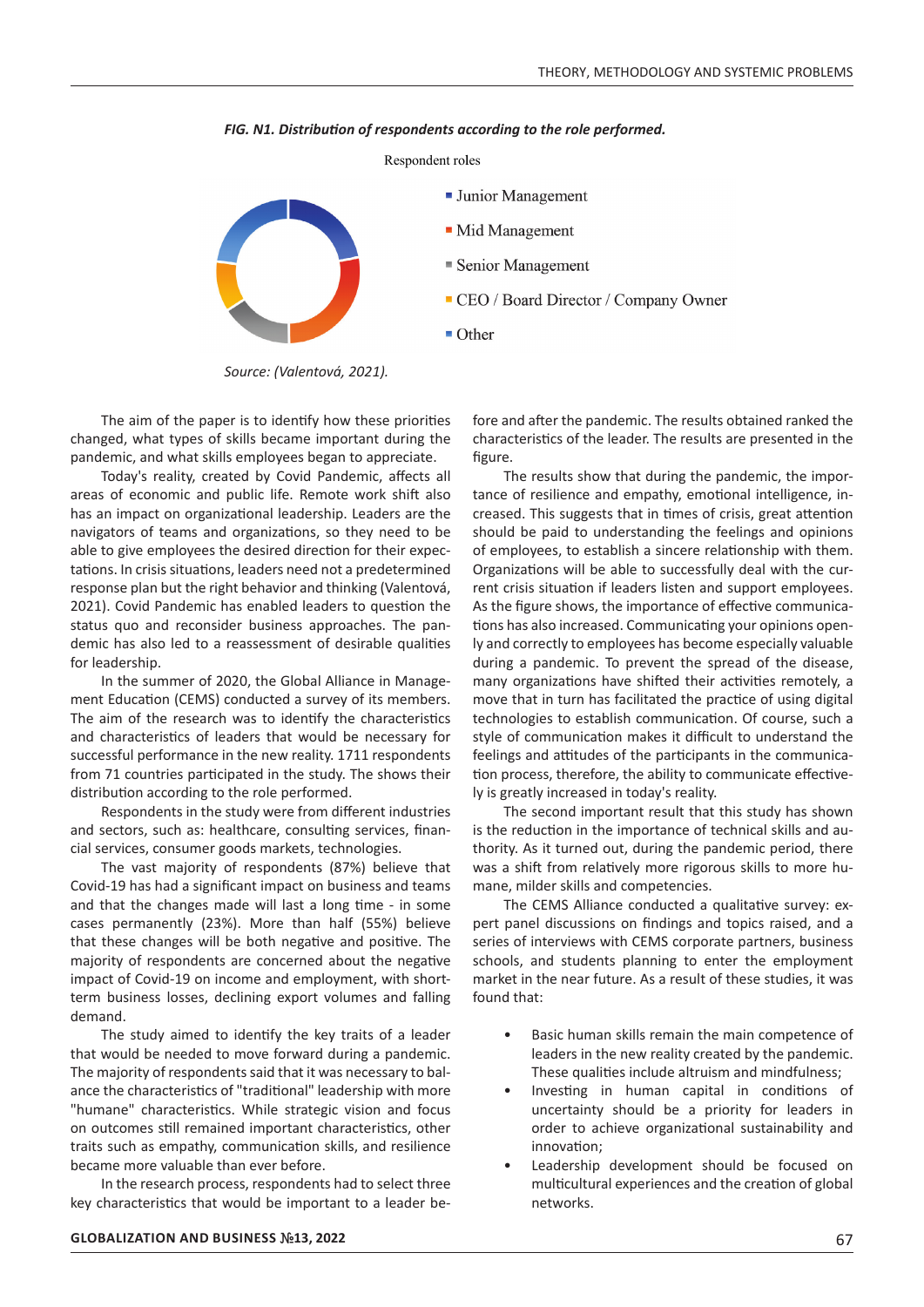

*FIG. N1. Distribution of respondents according to the role performed.* 

*Source: (Valentová, 2021).*

The aim of the paper is to identify how these priorities changed, what types of skills became important during the pandemic, and what skills employees began to appreciate.

Today's reality, created by Covid Pandemic, affects all areas of economic and public life. Remote work shift also has an impact on organizational leadership. Leaders are the navigators of teams and organizations, so they need to be able to give employees the desired direction for their expectations. In crisis situations, leaders need not a predetermined response plan but the right behavior and thinking (Valentová, 2021). Covid Pandemic has enabled leaders to question the status quo and reconsider business approaches. The pandemic has also led to a reassessment of desirable qualities for leadership. e<br>Ee

In the summer of 2020, the Global Alliance in Management Education (CEMS) conducted a survey of its members. The aim of the research was to identify the characteristics The aim of the research was to identify the characteristics<br>and characteristics of leaders that would be necessary for successful performance in the new reality. 1711 respondents from 71 countries participated in the study. The shows their distribution according to the role performed. Result-focu

Respondents in the study were from different industries and sectors, such as: healthcare, consulting services, financial services, consumer goods markets, technologies.

The vast majority of respondents (87%) believe that Covid-19 has had a significant impact on business and teams and that the changes made will last a long time - in some cases permanently (23%). More than half (55%) believe that these changes will be both negative and positive. The majority of respondents are concerned about the negative impact of Covid-19 on income and employment, with short-<br>term business losses, declining expert volumes and falling term business losses, declining export volumes and falling demand.  $\ddot{+}$ 

The study aimed to identify the key traits of a leader that would be needed to move forward during a pandemic. The majority of respondents said that it was necessary to balance the characteristics of "traditional" leadership with more "humane" characteristics. While strategic vision and focus on outcomes still remained important characteristics, other traits such as empathy, communication skills, and resilience became more valuable than ever before.

In the research process, respondents had to select three key characteristics that would be important to a leader be-

fore and after the pandemic. The results obtained ranked the characteristics of the leader. The results are presented in the figure.

The results show that during the pandemic, the impor-T tance of resilience and empathy, emotional intelligence, increased. This suggests that in times of crisis, great attention should be paid to understanding the feelings and opinions of employees, to establish a sincere relationship with them. Organizations will be able to successfully deal with the current crisis situation if leaders listen and support employees. As the figure shows, the importance of effective communications has also increased. Communicating your opinions openly and correctly to employees has become especially valuable during a pandemic. To prevent the spread of the disease, many organizations have shifted their activities remotely, a move that in turn has facilitated the practice of using digital technologies to establish communication. Of course, such a style of communication makes it difficult to understand the feelings and attitudes of the participants in the communication process, therefore, the ability to communicate effectively is greatly increased in today's reality. M Technology results since

The second important result that this study has shown is the reduction in the importance of technical skills and authority. As it turned out, during the pandemic period, there was a shift from relatively more rigorous skills to more humane, milder skills and competencies.

The CEMS Alliance conducted a qualitative survey: expert panel discussions on findings and topics raised, and a series of interviews with CEMS corporate partners, business schools, and students planning to enter the employment market in the near future. As a result of these studies, it was found that:

- Basic human skills remain the main competence of leaders in the new reality created by the pandemic. These qualities include altruism and mindfulness;
- Investing in human capital in conditions of uncertainty should be a priority for leaders in order to achieve organizational sustainability and innovation;
- Leadership development should be focused on multicultural experiences and the creation of global networks.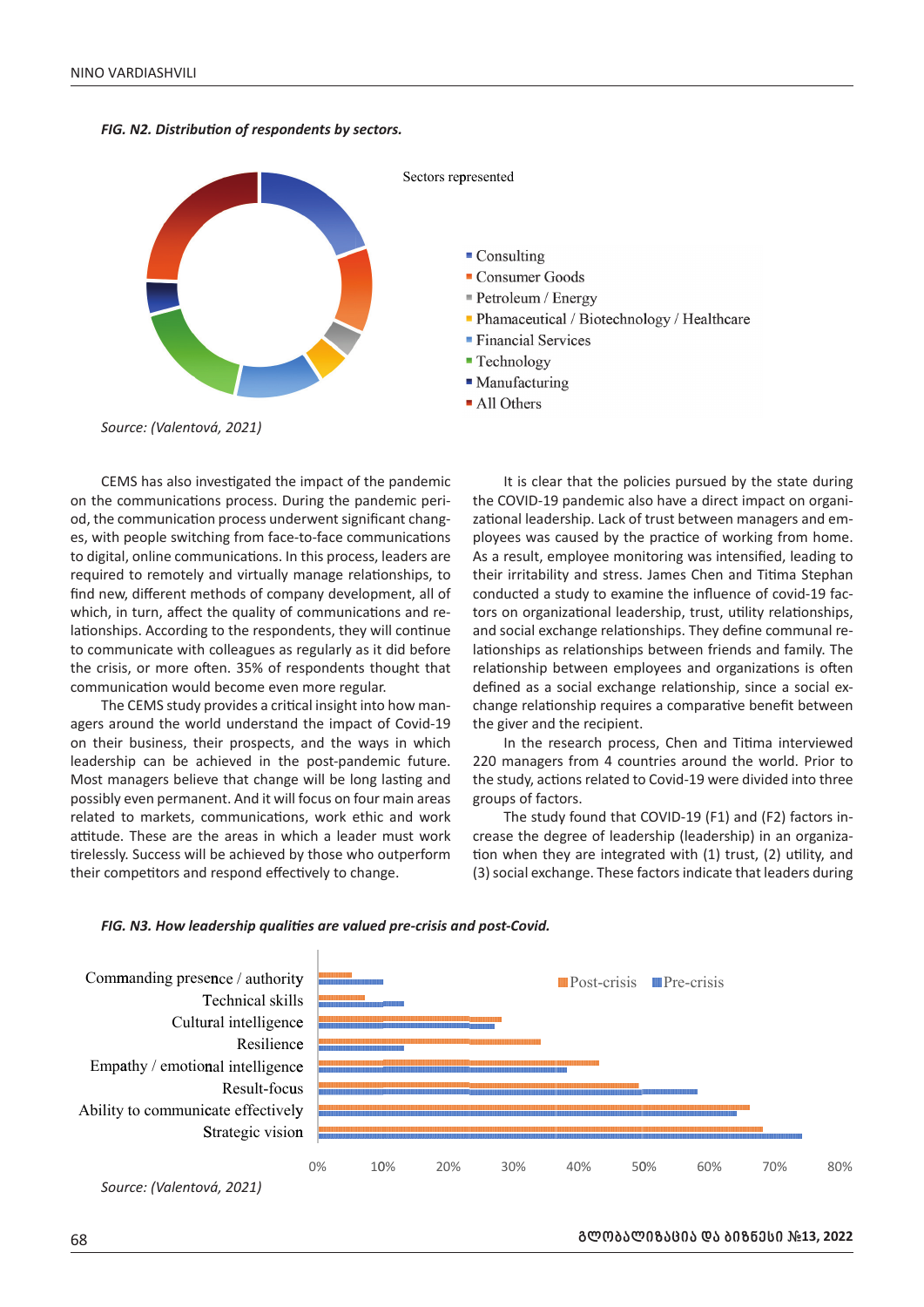*FIG. N2. Distribution of respondents by sectors.* 



CEMS has also investigated the impact of the pandemic on the communications process. During the pandemic period, the communication process underwent significant changes, with people switching from face-to-face communications to digital, online communications. In this process, leaders are required to remotely and virtually manage relationships, to find new, different methods of company development, all of which, in turn, affect the quality of communications and re-<br>lationships, Assording to the respondents, they will continue lationships. According to the respondents, they will continue to communicate with colleagues as regularly as it did before the crisis, or more often. 35% of respondents thought that communication would become even more regular. impact of the pair and the painter of the pair and the pair and this process, lead that the process, lead the process, lead the process, lead the regularly as it dispondents thou nonce regular.<br>Communications dents, they w Resilience ai<br>u<br>ea e<br>E

The CEMS study provides a critical insight into how managers around the world understand the impact of Covid-19 80 on their business, their prospects, and the ways in which leadership can be achieved in the post-pandemic future. Most managers believe that change will be long lasting and 0 possibly even permanent. And it will focus on four main areas got a got the part of the state of the part of the state of the state of the state of the state of the state of the state of the state of the state of the state related to markets, communications, work ethic and work attitude. These are the areas in which a leader must work cre tirelessly. Success will be achieved by those who outperform their competitors and respond effectively to change.  $\overline{a}$  $\overline{10}$ 

It is clear that the policies pursued by the state during the COVID-19 pandemic also have a direct impact on organizational leadership. Lack of trust between managers and employees was caused by the practice of working from home. As a result, employee monitoring was intensified, leading to their irritability and stress. James Chen and Titima Stephan conducted a study to examine the influence of covid-19 factors on organizational leadership, trust, utility relationships, and social exchange relationships. They define communal relationships as relationships between friends and family. The relationship between employees and organizations is often defined as a social exchange relationship, since a social exchange relationship requires a comparative benefit between the giver and the recipient.

 $\frac{mg}{g}$ er Goods  $m /$  Fregav A All Others

**Financial Services** 

In the research process, Chen and Titima interviewed 220 managers from 4 countries around the world. Prior to the study, actions related to Covid-19 were divided into three groups of factors.

The study found that COVID-19 (F1) and (F2) factors increase the degree of leadership (leadership) in an organization when they are integrated with (1) trust, (2) utility, and (3) social exchange. These factors indicate that leaders during





*Source: (Valentová, 2021)*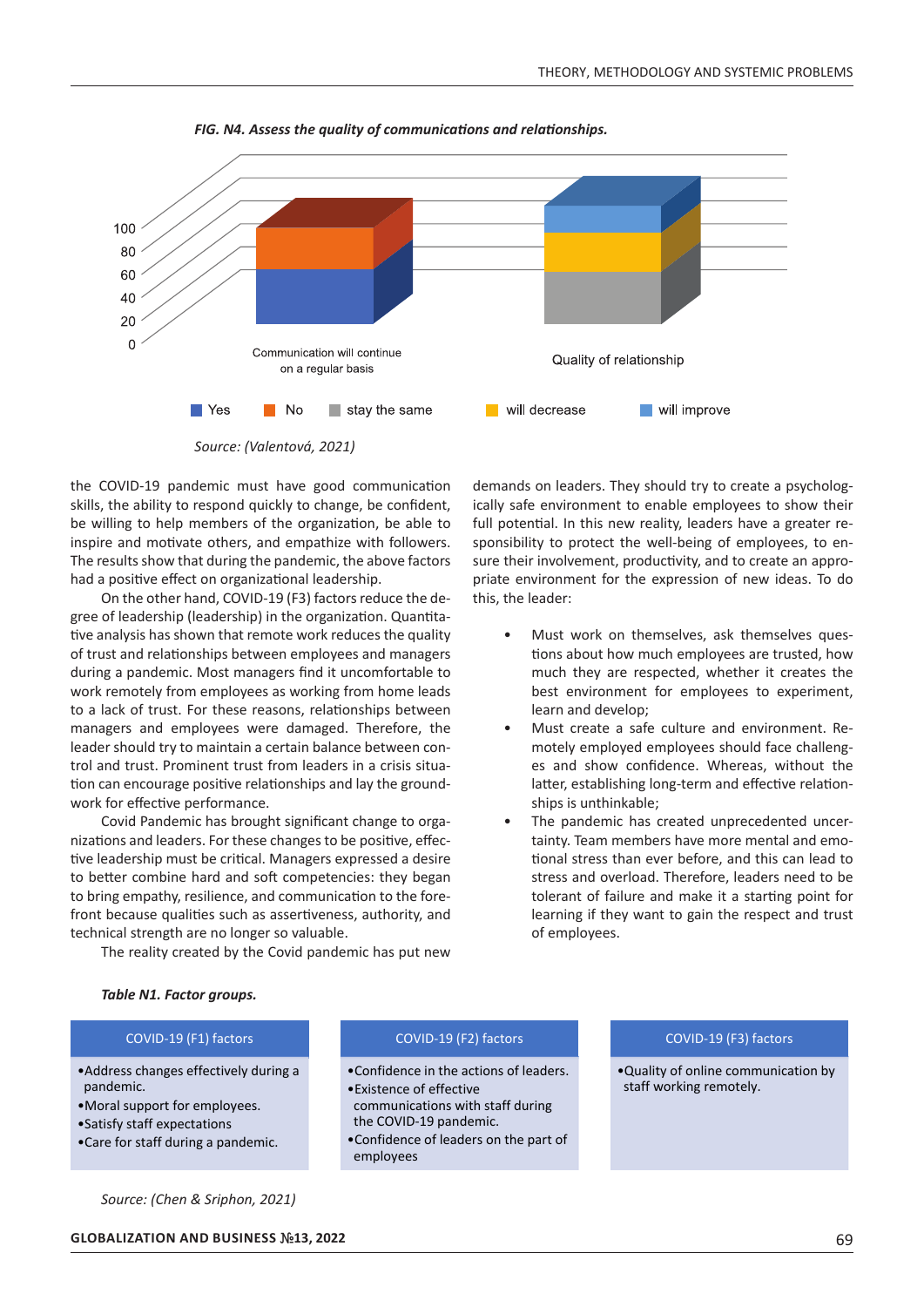

*FIG. N4. Assess the quality of communications and relationships.* 

*Source: (Valentová, 2021)*

the COVID-19 pandemic must have good communication skills, the ability to respond quickly to change, be confident, be willing to help members of the organization, be able to inspire and motivate others, and empathize with followers. The results show that during the pandemic, the above factors had a positive effect on organizational leadership.

On the other hand, COVID-19 (F3) factors reduce the degree of leadership (leadership) in the organization. Quantitative analysis has shown that remote work reduces the quality of trust and relationships between employees and managers during a pandemic. Most managers find it uncomfortable to work remotely from employees as working from home leads to a lack of trust. For these reasons, relationships between managers and employees were damaged. Therefore, the leader should try to maintain a certain balance between control and trust. Prominent trust from leaders in a crisis situation can encourage positive relationships and lay the groundwork for effective performance.

Covid Pandemic has brought significant change to organizations and leaders. For these changes to be positive, effective leadership must be critical. Managers expressed a desire to better combine hard and soft competencies: they began to bring empathy, resilience, and communication to the forefront because qualities such as assertiveness, authority, and technical strength are no longer so valuable.

The reality created by the Covid pandemic has put new

demands on leaders. They should try to create a psychologically safe environment to enable employees to show their full potential. In this new reality, leaders have a greater responsibility to protect the well-being of employees, to ensure their involvement, productivity, and to create an appropriate environment for the expression of new ideas. To do this, the leader:

- Must work on themselves, ask themselves questions about how much employees are trusted, how much they are respected, whether it creates the best environment for employees to experiment, learn and develop;
- Must create a safe culture and environment. Remotely employed employees should face challenges and show confidence. Whereas, without the latter, establishing long-term and effective relationships is unthinkable;
- The pandemic has created unprecedented uncertainty. Team members have more mental and emotional stress than ever before, and this can lead to stress and overload. Therefore, leaders need to be tolerant of failure and make it a starting point for learning if they want to gain the respect and trust of employees.

# *Table N1. Factor groups.*

#### COVID‐19 (F1) factors

- •Address changes effectively during a pandemic.
- •Moral support for employees.
- •Satisfy staff expectations
- •Care for staff during a pandemic.

# *Source: (Chen & Sriphon, 2021)*

**GLOBALIZATION AND BUSINESS** *#***13, 2022** 69

# COVID‐19 (F2) factors

- •Confidence in the actions of leaders. •Existence of effective
- communications with staff during the COVID‐19 pandemic.
- •Confidence of leaders on the part of employees

#### COVID‐19 (F3) factors

•Quality of online communication by staff working remotely.